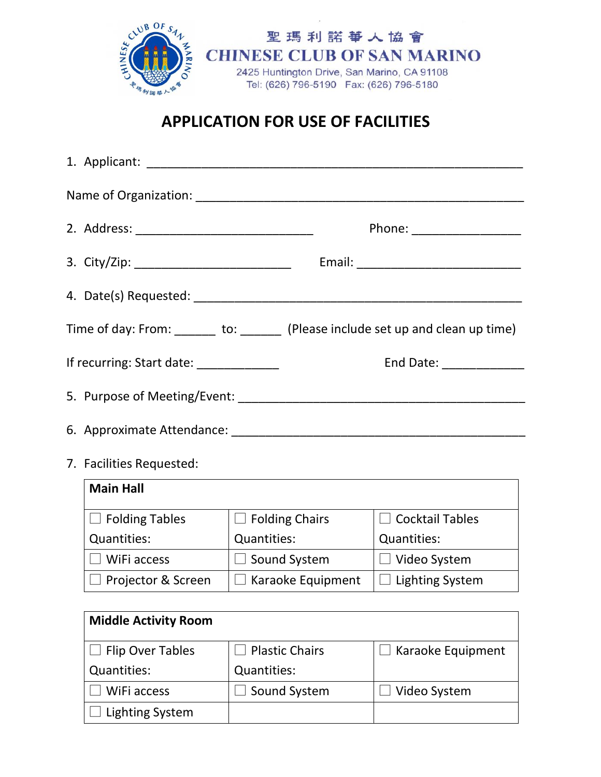

## **APPLICATION FOR USE OF FACILITIES**

|                                        | Phone: ____________________                                                     |
|----------------------------------------|---------------------------------------------------------------------------------|
|                                        |                                                                                 |
|                                        |                                                                                 |
|                                        | Time of day: From: _______ to: ______ (Please include set up and clean up time) |
| If recurring: Start date: ____________ | End Date: _______________                                                       |
|                                        |                                                                                 |
|                                        |                                                                                 |

7. Facilities Requested:

| <b>Main Hall</b>      |                   |                        |
|-----------------------|-------------------|------------------------|
| <b>Folding Tables</b> | Folding Chairs    | $\Box$ Cocktail Tables |
| Quantities:           | Quantities:       | Quantities:            |
| WiFi access           | Sound System      | Video System           |
| Projector & Screen    | Karaoke Equipment | <b>Lighting System</b> |

| <b>Middle Activity Room</b> |                    |                   |
|-----------------------------|--------------------|-------------------|
| $\Box$ Flip Over Tables     | Plastic Chairs     | Karaoke Equipment |
| Quantities:                 | <b>Quantities:</b> |                   |
| WiFi access                 | Sound System       | Video System      |
| Lighting System             |                    |                   |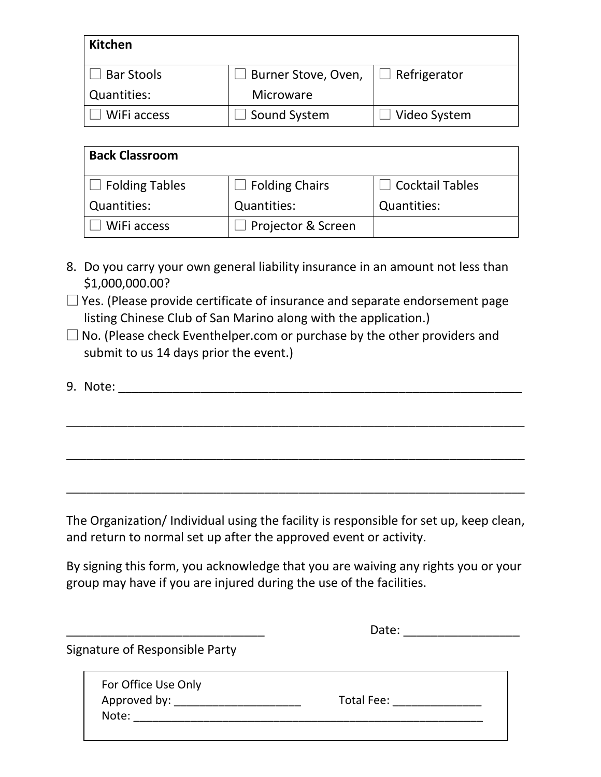| <b>Kitchen</b>     |                     |                     |
|--------------------|---------------------|---------------------|
| <b>Bar Stools</b>  | Burner Stove, Oven, | $\Box$ Refrigerator |
| <b>Quantities:</b> | Microware           |                     |
| WiFi access        | Sound System        | Video System        |

| <b>Back Classroom</b> |                       |                        |
|-----------------------|-----------------------|------------------------|
| Folding Tables        | $\Box$ Folding Chairs | $\Box$ Cocktail Tables |
| <b>Quantities:</b>    | Quantities:           | Quantities:            |
| WiFi access           | Projector & Screen    |                        |

- 8. Do you carry your own general liability insurance in an amount not less than \$1,000,000.00?
- $\square$  Yes. (Please provide certificate of insurance and separate endorsement page listing Chinese Club of San Marino along with the application.)
- $\square$  No. (Please check Eventhelper.com or purchase by the other providers and submit to us 14 days prior the event.)
- 9. Note: \_\_\_\_\_\_\_\_\_\_\_\_\_\_\_\_\_\_\_\_\_\_\_\_\_\_\_\_\_\_\_\_\_\_\_\_\_\_\_\_\_\_\_\_\_\_\_\_\_\_\_\_\_\_\_\_\_\_\_

\_\_\_\_\_\_\_\_\_\_\_\_\_\_\_\_\_\_\_\_\_\_\_\_\_\_\_\_\_\_\_\_\_\_\_\_\_\_\_\_\_\_\_\_\_\_\_\_\_\_\_\_\_\_\_\_\_\_\_\_\_\_\_\_\_\_\_

\_\_\_\_\_\_\_\_\_\_\_\_\_\_\_\_\_\_\_\_\_\_\_\_\_\_\_\_\_\_\_\_\_\_\_\_\_\_\_\_\_\_\_\_\_\_\_\_\_\_\_\_\_\_\_\_\_\_\_\_\_\_\_\_\_\_\_

\_\_\_\_\_\_\_\_\_\_\_\_\_\_\_\_\_\_\_\_\_\_\_\_\_\_\_\_\_\_\_\_\_\_\_\_\_\_\_\_\_\_\_\_\_\_\_\_\_\_\_\_\_\_\_\_\_\_\_\_\_\_\_\_\_\_\_

The Organization/ Individual using the facility is responsible for set up, keep clean, and return to normal set up after the approved event or activity.

By signing this form, you acknowledge that you are waiving any rights you or your group may have if you are injured during the use of the facilities.

\_\_\_\_\_\_\_\_\_\_\_\_\_\_\_\_\_\_\_\_\_\_\_\_\_\_\_\_\_ Date: \_\_\_\_\_\_\_\_\_\_\_\_\_\_\_\_\_ Signature of Responsible Party For Office Use Only Approved by: \_\_\_\_\_\_\_\_\_\_\_\_\_\_\_\_\_\_\_\_ Total Fee: \_\_\_\_\_\_\_\_\_\_\_\_\_\_ Note: \_\_\_\_\_\_\_\_\_\_\_\_\_\_\_\_\_\_\_\_\_\_\_\_\_\_\_\_\_\_\_\_\_\_\_\_\_\_\_\_\_\_\_\_\_\_\_\_\_\_\_\_\_\_\_